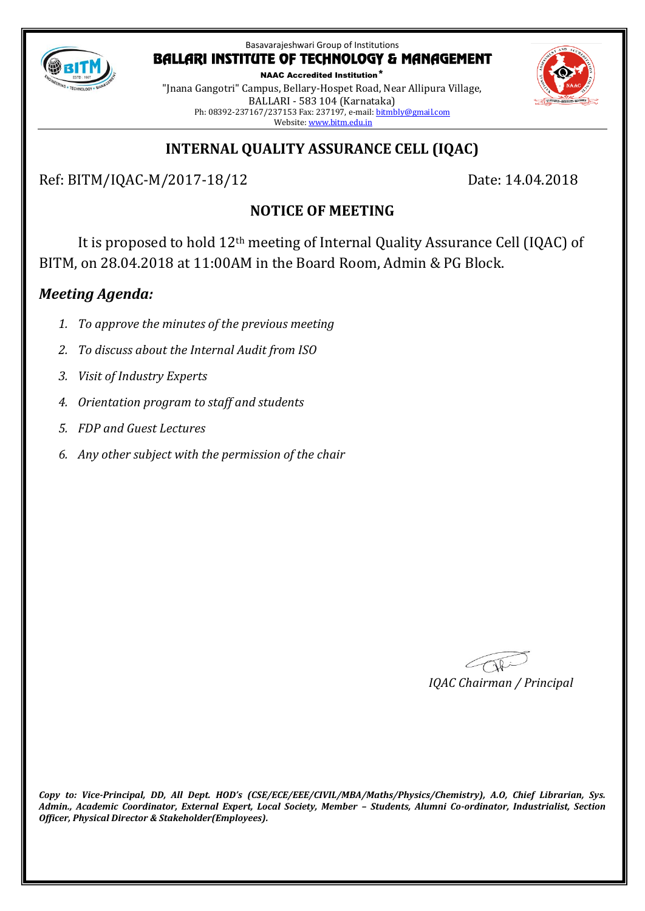

NAAC Accredited Institution\* "Jnana Gangotri" Campus, Bellary-Hospet Road, Near Allipura Village, BALLARI - 583 104 (Karnataka) Ph: 08392-237167/237153 Fax: 237197, e-mail[: bitmbly@gmail.com](mailto:bitmbly@gmail.com) Website[: www.bitm.edu.in](http://www.bec-bellary.com/)



## **INTERNAL QUALITY ASSURANCE CELL (IQAC)**

Ref: BITM/IQAC-M/2017-18/12 Date: 14.04.2018

# **NOTICE OF MEETING**

It is proposed to hold 12th meeting of Internal Quality Assurance Cell (IQAC) of BITM, on 28.04.2018 at 11:00AM in the Board Room, Admin & PG Block.

## *Meeting Agenda:*

- *1. To approve the minutes of the previous meeting*
- *2. To discuss about the Internal Audit from ISO*
- *3. Visit of Industry Experts*
- *4. Orientation program to staff and students*
- *5. FDP and Guest Lectures*
- *6. Any other subject with the permission of the chair*

*IQAC Chairman / Principal*

*Copy to: Vice-Principal, DD, All Dept. HOD's (CSE/ECE/EEE/CIVIL/MBA/Maths/Physics/Chemistry), A.O, Chief Librarian, Sys. Admin., Academic Coordinator, External Expert, Local Society, Member – Students, Alumni Co-ordinator, Industrialist, Section Officer, Physical Director & Stakeholder(Employees).*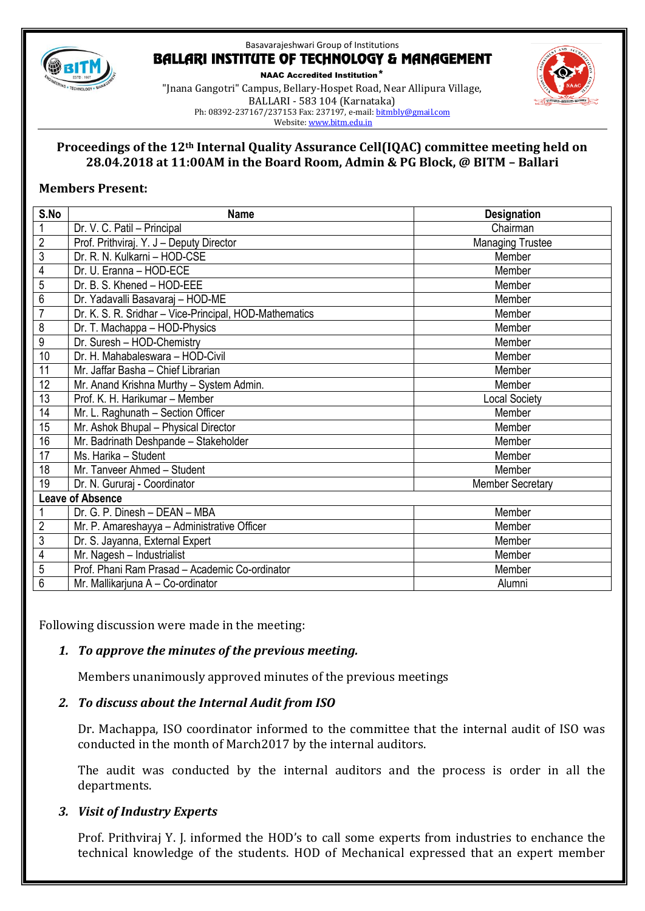

NAAC Accredited Institution\* "Jnana Gangotri" Campus, Bellary-Hospet Road, Near Allipura Village, BALLARI - 583 104 (Karnataka) Ph: 08392-237167/237153 Fax: 237197, e-mail[: bitmbly@gmail.com](mailto:bitmbly@gmail.com) Website[: www.bitm.edu.in](http://www.bec-bellary.com/)



#### **Proceedings of the 12th Internal Quality Assurance Cell(IQAC) committee meeting held on 28.04.2018 at 11:00AM in the Board Room, Admin & PG Block, @ BITM – Ballari**

#### **Members Present:**

| S.No                    | <b>Name</b>                                            | <b>Designation</b>      |
|-------------------------|--------------------------------------------------------|-------------------------|
| 1                       | Dr. V. C. Patil - Principal                            | Chairman                |
| $\overline{2}$          | Prof. Prithviraj. Y. J - Deputy Director               | <b>Managing Trustee</b> |
| $\overline{3}$          | Dr. R. N. Kulkarni - HOD-CSE                           | Member                  |
| $\overline{4}$          | Dr. U. Eranna - HOD-ECE                                | Member                  |
| 5                       | Dr. B. S. Khened - HOD-EEE                             | Member                  |
| $\overline{6}$          | Dr. Yadavalli Basavaraj - HOD-ME                       | Member                  |
| $\overline{7}$          | Dr. K. S. R. Sridhar - Vice-Principal, HOD-Mathematics | Member                  |
| 8                       | Dr. T. Machappa - HOD-Physics                          | Member                  |
| 9                       | Dr. Suresh - HOD-Chemistry                             | Member                  |
| 10                      | Dr. H. Mahabaleswara - HOD-Civil                       | Member                  |
| 11                      | Mr. Jaffar Basha - Chief Librarian                     | Member                  |
| 12                      | Mr. Anand Krishna Murthy - System Admin.               | Member                  |
| 13                      | Prof. K. H. Harikumar - Member                         | <b>Local Society</b>    |
| 14                      | Mr. L. Raghunath - Section Officer                     | Member                  |
| $\overline{15}$         | Mr. Ashok Bhupal - Physical Director                   | Member                  |
| 16                      | Mr. Badrinath Deshpande - Stakeholder                  | Member                  |
| 17                      | Ms. Harika - Student                                   | Member                  |
| 18                      | Mr. Tanveer Ahmed - Student                            | Member                  |
| 19                      | Dr. N. Gururaj - Coordinator                           | <b>Member Secretary</b> |
| <b>Leave of Absence</b> |                                                        |                         |
|                         | Dr. G. P. Dinesh - DEAN - MBA                          | Member                  |
| $\overline{2}$          | Mr. P. Amareshayya - Administrative Officer            | Member                  |
| 3                       | Dr. S. Jayanna, External Expert                        | Member                  |
| 4                       | Mr. Nagesh - Industrialist                             | Member                  |
| 5                       | Prof. Phani Ram Prasad - Academic Co-ordinator         | Member                  |
| $\overline{6}$          | Mr. Mallikarjuna A - Co-ordinator                      | Alumni                  |

Following discussion were made in the meeting:

## *1. To approve the minutes of the previous meeting.*

Members unanimously approved minutes of the previous meetings

#### *2. To discuss about the Internal Audit from ISO*

Dr. Machappa, ISO coordinator informed to the committee that the internal audit of ISO was conducted in the month of March2017 by the internal auditors.

The audit was conducted by the internal auditors and the process is order in all the departments.

#### *3. Visit of Industry Experts*

Prof. Prithviraj Y. J. informed the HOD's to call some experts from industries to enchance the technical knowledge of the students. HOD of Mechanical expressed that an expert member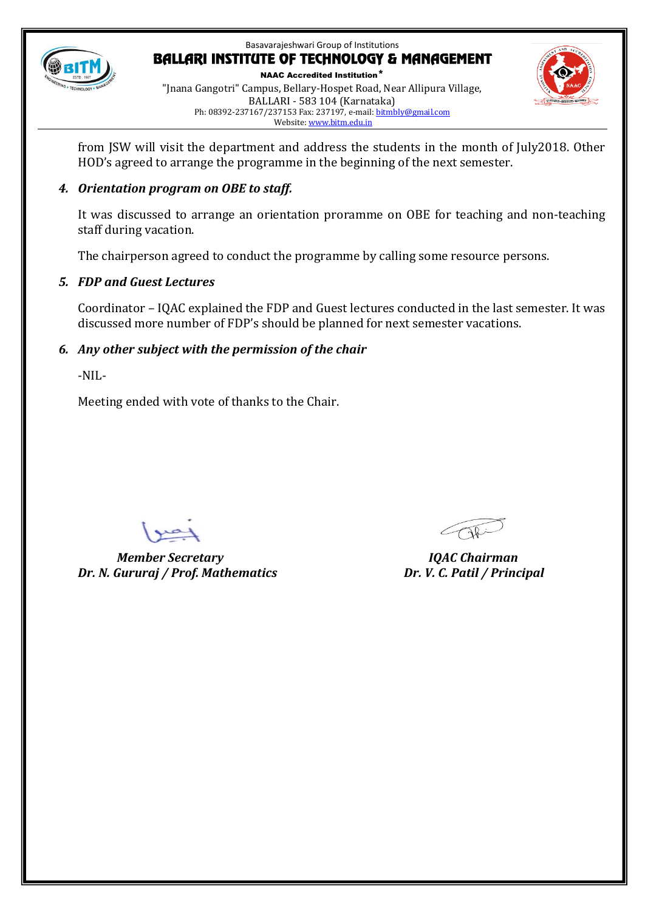

NAAC Accredited Institution\* "Jnana Gangotri" Campus, Bellary-Hospet Road, Near Allipura Village, BALLARI - 583 104 (Karnataka) Ph: 08392-237167/237153 Fax: 237197, e-mail[: bitmbly@gmail.com](mailto:bitmbly@gmail.com) Website[: www.bitm.edu.in](http://www.bec-bellary.com/)



from JSW will visit the department and address the students in the month of July2018. Other HOD's agreed to arrange the programme in the beginning of the next semester.

#### *4. Orientation program on OBE to staff.*

It was discussed to arrange an orientation proramme on OBE for teaching and non-teaching staff during vacation.

The chairperson agreed to conduct the programme by calling some resource persons.

#### *5. FDP and Guest Lectures*

Coordinator – IQAC explained the FDP and Guest lectures conducted in the last semester. It was discussed more number of FDP's should be planned for next semester vacations.

## *6. Any other subject with the permission of the chair*

-NIL-

Meeting ended with vote of thanks to the Chair.

*Member Secretary IQAC Chairman Dr. N. Gururaj / Prof. Mathematics Dr. V. C. Patil / Principal*

COR